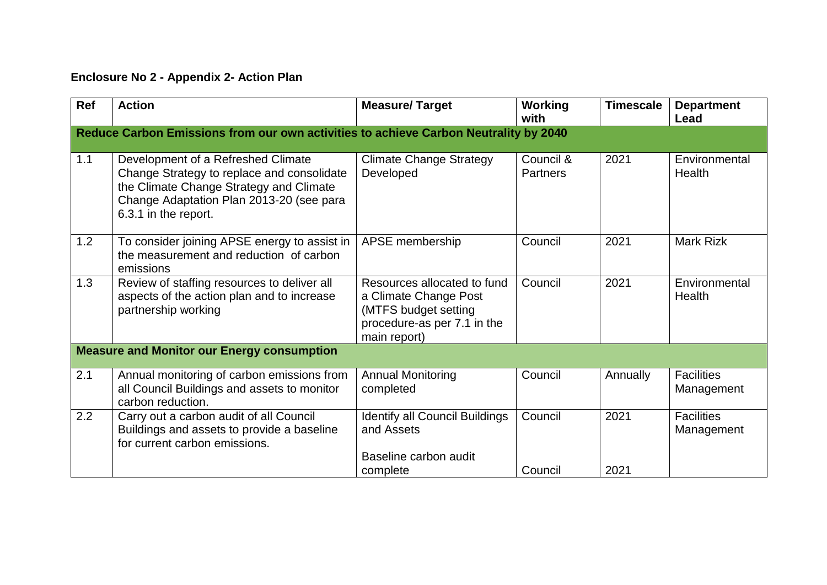## **Enclosure No 2 - Appendix 2- Action Plan**

| Ref | <b>Action</b>                                                                                                                                                                                   | <b>Measure/Target</b>                                                                                                       | <b>Working</b><br>with       | <b>Timescale</b> | <b>Department</b><br>Lead       |  |  |  |
|-----|-------------------------------------------------------------------------------------------------------------------------------------------------------------------------------------------------|-----------------------------------------------------------------------------------------------------------------------------|------------------------------|------------------|---------------------------------|--|--|--|
|     | Reduce Carbon Emissions from our own activities to achieve Carbon Neutrality by 2040                                                                                                            |                                                                                                                             |                              |                  |                                 |  |  |  |
| 1.1 | Development of a Refreshed Climate<br>Change Strategy to replace and consolidate<br>the Climate Change Strategy and Climate<br>Change Adaptation Plan 2013-20 (see para<br>6.3.1 in the report. | <b>Climate Change Strategy</b><br>Developed                                                                                 | Council &<br><b>Partners</b> | 2021             | Environmental<br>Health         |  |  |  |
| 1.2 | To consider joining APSE energy to assist in<br>the measurement and reduction of carbon<br>emissions                                                                                            | APSE membership                                                                                                             | Council                      | 2021             | <b>Mark Rizk</b>                |  |  |  |
| 1.3 | Review of staffing resources to deliver all<br>aspects of the action plan and to increase<br>partnership working                                                                                | Resources allocated to fund<br>a Climate Change Post<br>(MTFS budget setting<br>procedure-as per 7.1 in the<br>main report) | Council                      | 2021             | Environmental<br>Health         |  |  |  |
|     | <b>Measure and Monitor our Energy consumption</b>                                                                                                                                               |                                                                                                                             |                              |                  |                                 |  |  |  |
| 2.1 | Annual monitoring of carbon emissions from<br>all Council Buildings and assets to monitor<br>carbon reduction.                                                                                  | <b>Annual Monitoring</b><br>completed                                                                                       | Council                      | Annually         | <b>Facilities</b><br>Management |  |  |  |
| 2.2 | Carry out a carbon audit of all Council<br>Buildings and assets to provide a baseline<br>for current carbon emissions.                                                                          | <b>Identify all Council Buildings</b><br>and Assets<br>Baseline carbon audit                                                | Council                      | 2021             | <b>Facilities</b><br>Management |  |  |  |
|     |                                                                                                                                                                                                 | complete                                                                                                                    | Council                      | 2021             |                                 |  |  |  |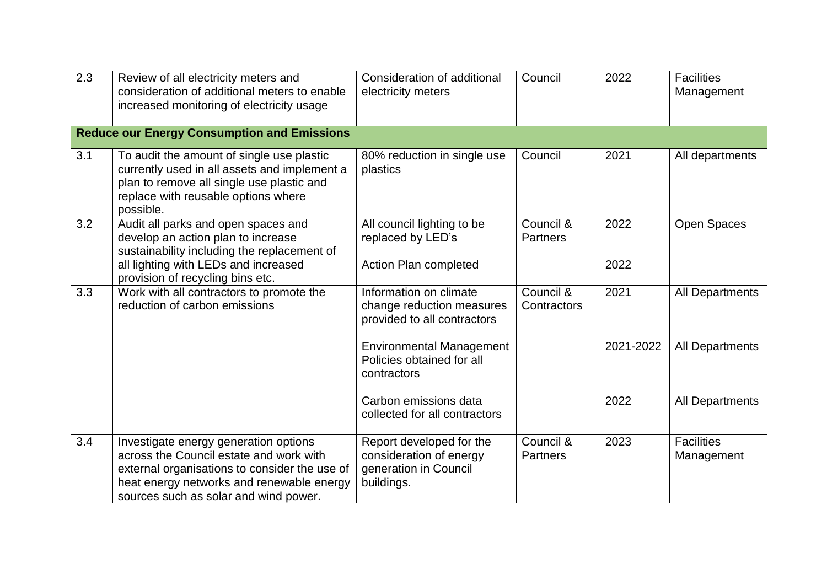| 2.3 | Review of all electricity meters and<br>consideration of additional meters to enable<br>increased monitoring of electricity usage                                                                                       | Consideration of additional<br>electricity meters                                          | Council                      | 2022         | <b>Facilities</b><br>Management |
|-----|-------------------------------------------------------------------------------------------------------------------------------------------------------------------------------------------------------------------------|--------------------------------------------------------------------------------------------|------------------------------|--------------|---------------------------------|
|     | <b>Reduce our Energy Consumption and Emissions</b>                                                                                                                                                                      |                                                                                            |                              |              |                                 |
| 3.1 | To audit the amount of single use plastic<br>currently used in all assets and implement a<br>plan to remove all single use plastic and<br>replace with reusable options where<br>possible.                              | 80% reduction in single use<br>plastics                                                    | Council                      | 2021         | All departments                 |
| 3.2 | Audit all parks and open spaces and<br>develop an action plan to increase<br>sustainability including the replacement of<br>all lighting with LEDs and increased<br>provision of recycling bins etc.                    | All council lighting to be<br>replaced by LED's<br>Action Plan completed                   | Council &<br><b>Partners</b> | 2022<br>2022 | Open Spaces                     |
| 3.3 | Work with all contractors to promote the<br>reduction of carbon emissions                                                                                                                                               | Information on climate<br>change reduction measures<br>provided to all contractors         | Council &<br>Contractors     | 2021         | <b>All Departments</b>          |
|     |                                                                                                                                                                                                                         | <b>Environmental Management</b><br>Policies obtained for all<br>contractors                |                              | 2021-2022    | All Departments                 |
|     |                                                                                                                                                                                                                         | Carbon emissions data<br>collected for all contractors                                     |                              | 2022         | <b>All Departments</b>          |
| 3.4 | Investigate energy generation options<br>across the Council estate and work with<br>external organisations to consider the use of<br>heat energy networks and renewable energy<br>sources such as solar and wind power. | Report developed for the<br>consideration of energy<br>generation in Council<br>buildings. | Council &<br><b>Partners</b> | 2023         | <b>Facilities</b><br>Management |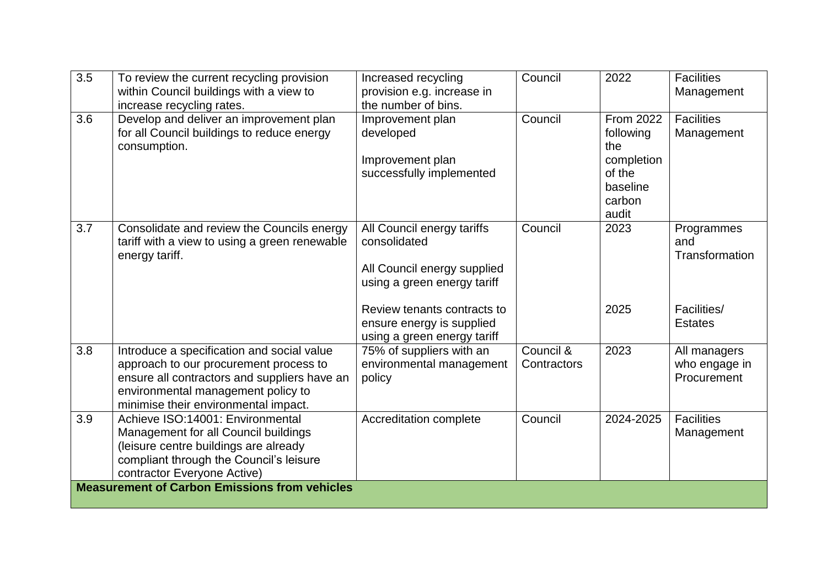| $\overline{3.5}$ | To review the current recycling provision<br>within Council buildings with a view to<br>increase recycling rates.                                                                                                  | Increased recycling<br>provision e.g. increase in<br>the number of bins.                                 | Council                  | 2022                                                                                 | <b>Facilities</b><br>Management              |
|------------------|--------------------------------------------------------------------------------------------------------------------------------------------------------------------------------------------------------------------|----------------------------------------------------------------------------------------------------------|--------------------------|--------------------------------------------------------------------------------------|----------------------------------------------|
| 3.6              | Develop and deliver an improvement plan<br>for all Council buildings to reduce energy<br>consumption.                                                                                                              | Improvement plan<br>developed<br>Improvement plan<br>successfully implemented                            | Council                  | From 2022<br>following<br>the<br>completion<br>of the<br>baseline<br>carbon<br>audit | <b>Facilities</b><br>Management              |
| 3.7              | Consolidate and review the Councils energy<br>tariff with a view to using a green renewable<br>energy tariff.                                                                                                      | All Council energy tariffs<br>consolidated<br>All Council energy supplied<br>using a green energy tariff | Council                  | 2023                                                                                 | Programmes<br>and<br>Transformation          |
|                  |                                                                                                                                                                                                                    | Review tenants contracts to<br>ensure energy is supplied<br>using a green energy tariff                  |                          | 2025                                                                                 | Facilities/<br><b>Estates</b>                |
| 3.8              | Introduce a specification and social value<br>approach to our procurement process to<br>ensure all contractors and suppliers have an<br>environmental management policy to<br>minimise their environmental impact. | 75% of suppliers with an<br>environmental management<br>policy                                           | Council &<br>Contractors | 2023                                                                                 | All managers<br>who engage in<br>Procurement |
| 3.9              | Achieve ISO:14001: Environmental<br>Management for all Council buildings<br>(leisure centre buildings are already<br>compliant through the Council's leisure<br>contractor Everyone Active)                        | Accreditation complete                                                                                   | Council                  | 2024-2025                                                                            | <b>Facilities</b><br>Management              |
|                  | <b>Measurement of Carbon Emissions from vehicles</b>                                                                                                                                                               |                                                                                                          |                          |                                                                                      |                                              |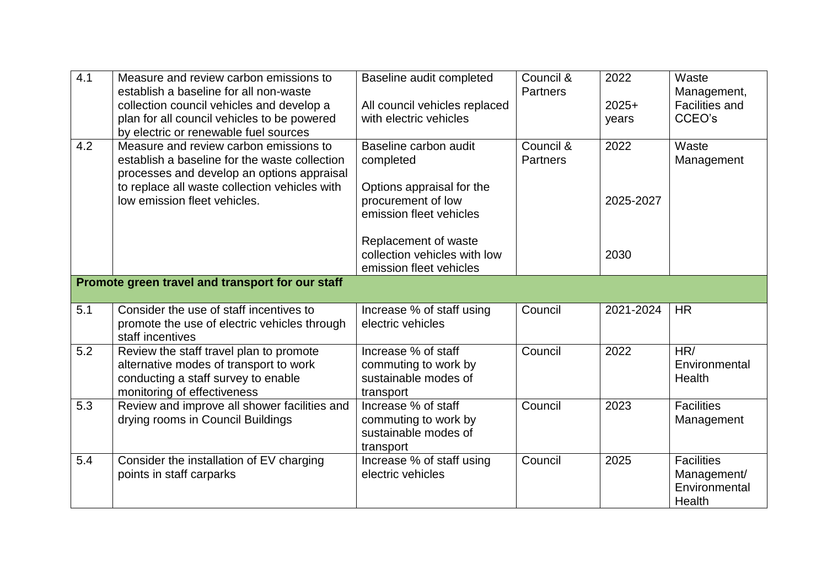| 4.1              | Measure and review carbon emissions to<br>establish a baseline for all non-waste                                                                        | Baseline audit completed                                                         | Council &<br><b>Partners</b> | 2022             | Waste<br>Management,                                        |
|------------------|---------------------------------------------------------------------------------------------------------------------------------------------------------|----------------------------------------------------------------------------------|------------------------------|------------------|-------------------------------------------------------------|
|                  | collection council vehicles and develop a<br>plan for all council vehicles to be powered<br>by electric or renewable fuel sources                       | All council vehicles replaced<br>with electric vehicles                          |                              | $2025+$<br>years | <b>Facilities and</b><br>CCEO's                             |
| 4.2              | Measure and review carbon emissions to<br>establish a baseline for the waste collection<br>processes and develop an options appraisal                   | Baseline carbon audit<br>completed                                               | Council &<br><b>Partners</b> | 2022             | Waste<br>Management                                         |
|                  | to replace all waste collection vehicles with<br>low emission fleet vehicles.                                                                           | Options appraisal for the<br>procurement of low<br>emission fleet vehicles       |                              | 2025-2027        |                                                             |
|                  |                                                                                                                                                         | Replacement of waste<br>collection vehicles with low<br>emission fleet vehicles  |                              | 2030             |                                                             |
|                  | Promote green travel and transport for our staff                                                                                                        |                                                                                  |                              |                  |                                                             |
| $\overline{5.1}$ | Consider the use of staff incentives to<br>promote the use of electric vehicles through<br>staff incentives                                             | Increase % of staff using<br>electric vehicles                                   | Council                      | 2021-2024        | <b>HR</b>                                                   |
| 5.2              | Review the staff travel plan to promote<br>alternative modes of transport to work<br>conducting a staff survey to enable<br>monitoring of effectiveness | Increase % of staff<br>commuting to work by<br>sustainable modes of<br>transport | Council                      | 2022             | HR/<br>Environmental<br>Health                              |
| 5.3              | Review and improve all shower facilities and<br>drying rooms in Council Buildings                                                                       | Increase % of staff<br>commuting to work by<br>sustainable modes of<br>transport | Council                      | 2023             | <b>Facilities</b><br>Management                             |
| 5.4              | Consider the installation of EV charging<br>points in staff carparks                                                                                    | Increase % of staff using<br>electric vehicles                                   | Council                      | 2025             | <b>Facilities</b><br>Management/<br>Environmental<br>Health |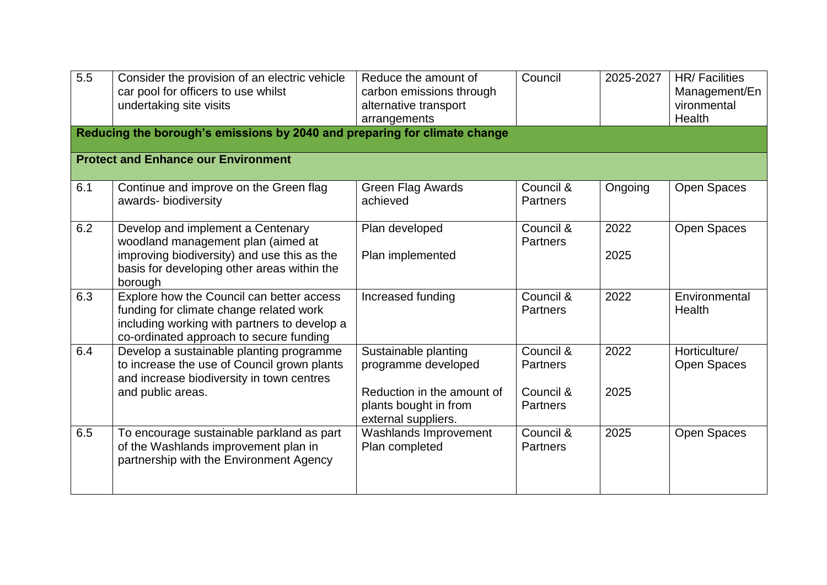| $\overline{5.5}$ | Consider the provision of an electric vehicle<br>car pool for officers to use whilst<br>undertaking site visits                                                                  | Reduce the amount of<br>carbon emissions through<br>alternative transport<br>arrangements                                 | Council                                                      | 2025-2027    | <b>HR/Facilities</b><br>Management/En<br>vironmental<br><b>Health</b> |
|------------------|----------------------------------------------------------------------------------------------------------------------------------------------------------------------------------|---------------------------------------------------------------------------------------------------------------------------|--------------------------------------------------------------|--------------|-----------------------------------------------------------------------|
|                  | Reducing the borough's emissions by 2040 and preparing for climate change                                                                                                        |                                                                                                                           |                                                              |              |                                                                       |
|                  | <b>Protect and Enhance our Environment</b>                                                                                                                                       |                                                                                                                           |                                                              |              |                                                                       |
| 6.1              | Continue and improve on the Green flag<br>awards- biodiversity                                                                                                                   | <b>Green Flag Awards</b><br>achieved                                                                                      | Council &<br><b>Partners</b>                                 | Ongoing      | Open Spaces                                                           |
| 6.2              | Develop and implement a Centenary<br>woodland management plan (aimed at<br>improving biodiversity) and use this as the<br>basis for developing other areas within the<br>borough | Plan developed<br>Plan implemented                                                                                        | Council &<br><b>Partners</b>                                 | 2022<br>2025 | Open Spaces                                                           |
| 6.3              | Explore how the Council can better access<br>funding for climate change related work<br>including working with partners to develop a<br>co-ordinated approach to secure funding  | Increased funding                                                                                                         | Council &<br><b>Partners</b>                                 | 2022         | Environmental<br>Health                                               |
| 6.4              | Develop a sustainable planting programme<br>to increase the use of Council grown plants<br>and increase biodiversity in town centres<br>and public areas.                        | Sustainable planting<br>programme developed<br>Reduction in the amount of<br>plants bought in from<br>external suppliers. | Council &<br><b>Partners</b><br>Council &<br><b>Partners</b> | 2022<br>2025 | Horticulture/<br>Open Spaces                                          |
| 6.5              | To encourage sustainable parkland as part<br>of the Washlands improvement plan in<br>partnership with the Environment Agency                                                     | Washlands Improvement<br>Plan completed                                                                                   | Council &<br><b>Partners</b>                                 | 2025         | Open Spaces                                                           |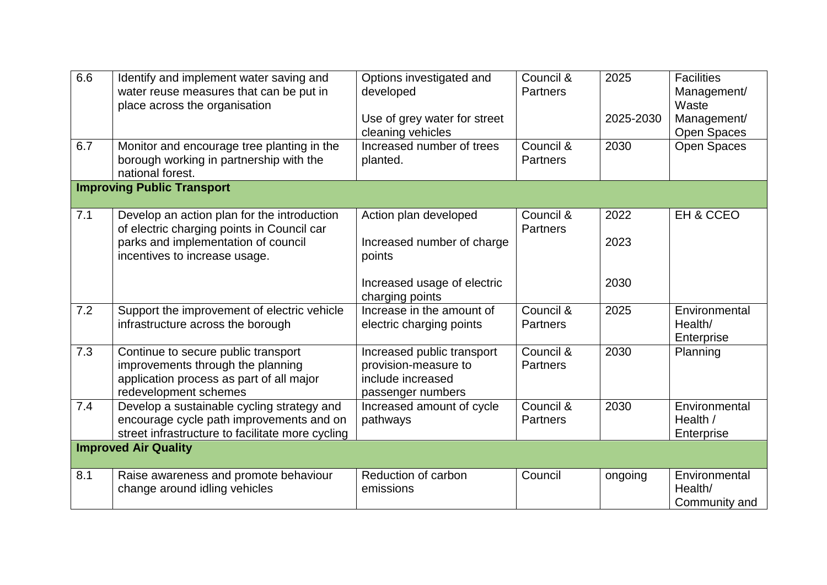| 6.6<br>6.7 | Identify and implement water saving and<br>water reuse measures that can be put in<br>place across the organisation<br>Monitor and encourage tree planting in the | Options investigated and<br>developed<br>Use of grey water for street<br>cleaning vehicles<br>Increased number of trees | Council &<br><b>Partners</b><br>Council & | 2025<br>2025-2030<br>2030 | <b>Facilities</b><br>Management/<br>Waste<br>Management/<br><b>Open Spaces</b><br>Open Spaces |
|------------|-------------------------------------------------------------------------------------------------------------------------------------------------------------------|-------------------------------------------------------------------------------------------------------------------------|-------------------------------------------|---------------------------|-----------------------------------------------------------------------------------------------|
|            | borough working in partnership with the<br>national forest.                                                                                                       | planted.                                                                                                                | <b>Partners</b>                           |                           |                                                                                               |
|            | <b>Improving Public Transport</b>                                                                                                                                 |                                                                                                                         |                                           |                           |                                                                                               |
| 7.1        | Develop an action plan for the introduction<br>of electric charging points in Council car                                                                         | Action plan developed                                                                                                   | Council &<br><b>Partners</b>              | 2022                      | EH & CCEO                                                                                     |
|            | parks and implementation of council<br>incentives to increase usage.                                                                                              | Increased number of charge<br>points                                                                                    |                                           | 2023                      |                                                                                               |
|            |                                                                                                                                                                   | Increased usage of electric<br>charging points                                                                          |                                           | 2030                      |                                                                                               |
| 7.2        | Support the improvement of electric vehicle<br>infrastructure across the borough                                                                                  | Increase in the amount of<br>electric charging points                                                                   | Council &<br><b>Partners</b>              | 2025                      | Environmental<br>Health/<br>Enterprise                                                        |
| 7.3        | Continue to secure public transport<br>improvements through the planning<br>application process as part of all major<br>redevelopment schemes                     | Increased public transport<br>provision-measure to<br>include increased<br>passenger numbers                            | Council &<br><b>Partners</b>              | 2030                      | Planning                                                                                      |
| 7.4        | Develop a sustainable cycling strategy and<br>encourage cycle path improvements and on<br>street infrastructure to facilitate more cycling                        | Increased amount of cycle<br>pathways                                                                                   | Council &<br><b>Partners</b>              | 2030                      | Environmental<br>Health /<br>Enterprise                                                       |
|            | <b>Improved Air Quality</b>                                                                                                                                       |                                                                                                                         |                                           |                           |                                                                                               |
| 8.1        | Raise awareness and promote behaviour<br>change around idling vehicles                                                                                            | Reduction of carbon<br>emissions                                                                                        | Council                                   | ongoing                   | Environmental<br>Health/<br>Community and                                                     |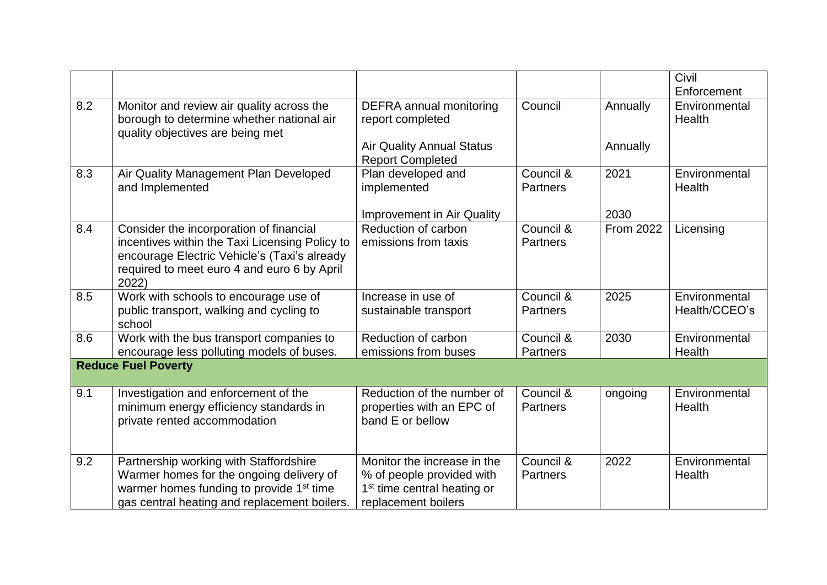|     |                                                                                                                                                                                                   |                                                                                                                            |                              |           | Civil<br>Enforcement           |
|-----|---------------------------------------------------------------------------------------------------------------------------------------------------------------------------------------------------|----------------------------------------------------------------------------------------------------------------------------|------------------------------|-----------|--------------------------------|
| 8.2 | Monitor and review air quality across the<br>borough to determine whether national air<br>quality objectives are being met                                                                        | <b>DEFRA</b> annual monitoring<br>report completed                                                                         | Council                      | Annually  | Environmental<br>Health        |
|     |                                                                                                                                                                                                   | <b>Air Quality Annual Status</b><br><b>Report Completed</b>                                                                |                              | Annually  |                                |
| 8.3 | Air Quality Management Plan Developed<br>and Implemented                                                                                                                                          | Plan developed and<br>implemented                                                                                          | Council &<br><b>Partners</b> | 2021      | Environmental<br>Health        |
|     |                                                                                                                                                                                                   | <b>Improvement in Air Quality</b>                                                                                          |                              | 2030      |                                |
| 8.4 | Consider the incorporation of financial<br>incentives within the Taxi Licensing Policy to<br>encourage Electric Vehicle's (Taxi's already<br>required to meet euro 4 and euro 6 by April<br>2022) | Reduction of carbon<br>emissions from taxis                                                                                | Council &<br><b>Partners</b> | From 2022 | Licensing                      |
| 8.5 | Work with schools to encourage use of<br>public transport, walking and cycling to<br>school                                                                                                       | Increase in use of<br>sustainable transport                                                                                | Council &<br><b>Partners</b> | 2025      | Environmental<br>Health/CCEO's |
| 8.6 | Work with the bus transport companies to<br>encourage less polluting models of buses.                                                                                                             | Reduction of carbon<br>emissions from buses                                                                                | Council &<br><b>Partners</b> | 2030      | Environmental<br>Health        |
|     | <b>Reduce Fuel Poverty</b>                                                                                                                                                                        |                                                                                                                            |                              |           |                                |
| 9.1 | Investigation and enforcement of the<br>minimum energy efficiency standards in<br>private rented accommodation                                                                                    | Reduction of the number of<br>properties with an EPC of<br>band E or bellow                                                | Council &<br><b>Partners</b> | ongoing   | Environmental<br>Health        |
| 9.2 | Partnership working with Staffordshire<br>Warmer homes for the ongoing delivery of<br>warmer homes funding to provide 1 <sup>st</sup> time<br>gas central heating and replacement boilers.        | Monitor the increase in the<br>% of people provided with<br>1 <sup>st</sup> time central heating or<br>replacement boilers | Council &<br><b>Partners</b> | 2022      | Environmental<br>Health        |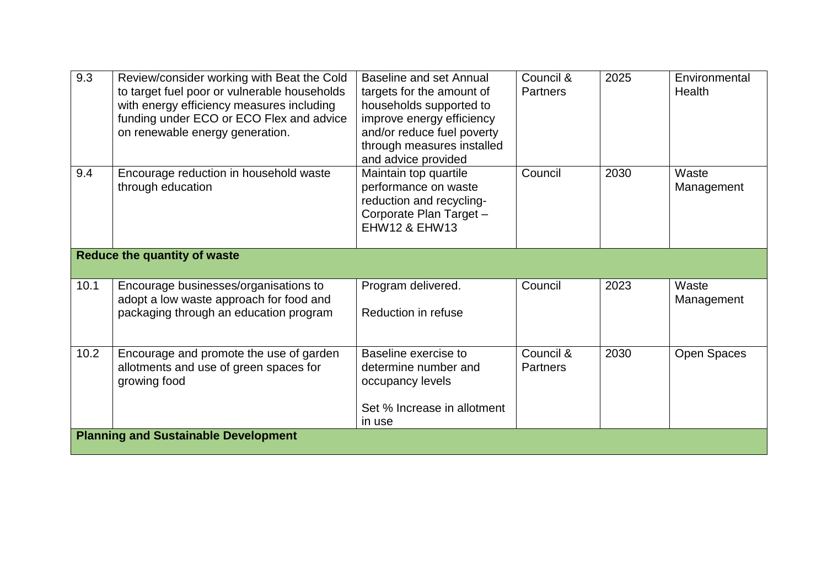| 9.3  | Review/consider working with Beat the Cold<br>to target fuel poor or vulnerable households<br>with energy efficiency measures including<br>funding under ECO or ECO Flex and advice<br>on renewable energy generation. | Baseline and set Annual<br>targets for the amount of<br>households supported to<br>improve energy efficiency<br>and/or reduce fuel poverty<br>through measures installed<br>and advice provided | Council &<br><b>Partners</b> | 2025 | Environmental<br>Health |  |  |
|------|------------------------------------------------------------------------------------------------------------------------------------------------------------------------------------------------------------------------|-------------------------------------------------------------------------------------------------------------------------------------------------------------------------------------------------|------------------------------|------|-------------------------|--|--|
| 9.4  | Encourage reduction in household waste<br>through education                                                                                                                                                            | Maintain top quartile<br>performance on waste<br>reduction and recycling-<br>Corporate Plan Target -<br><b>EHW12 &amp; EHW13</b>                                                                | Council                      | 2030 | Waste<br>Management     |  |  |
|      | <b>Reduce the quantity of waste</b>                                                                                                                                                                                    |                                                                                                                                                                                                 |                              |      |                         |  |  |
| 10.1 | Encourage businesses/organisations to<br>adopt a low waste approach for food and<br>packaging through an education program                                                                                             | Program delivered.<br>Reduction in refuse                                                                                                                                                       | Council                      | 2023 | Waste<br>Management     |  |  |
| 10.2 | Encourage and promote the use of garden<br>allotments and use of green spaces for<br>growing food                                                                                                                      | Baseline exercise to<br>determine number and<br>occupancy levels<br>Set % Increase in allotment<br>in use                                                                                       | Council &<br><b>Partners</b> | 2030 | <b>Open Spaces</b>      |  |  |
|      | <b>Planning and Sustainable Development</b>                                                                                                                                                                            |                                                                                                                                                                                                 |                              |      |                         |  |  |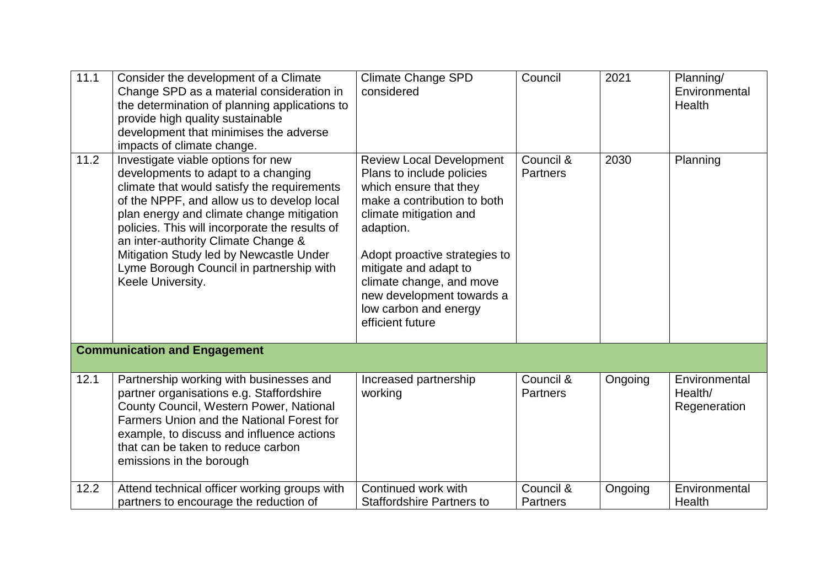| 11.1 | Consider the development of a Climate<br>Change SPD as a material consideration in<br>the determination of planning applications to<br>provide high quality sustainable<br>development that minimises the adverse<br>impacts of climate change.                                                                                                                                                                          | <b>Climate Change SPD</b><br>considered                                                                                                                                                                                                                                                                                      | Council                      | 2021    | Planning/<br>Environmental<br>Health     |
|------|--------------------------------------------------------------------------------------------------------------------------------------------------------------------------------------------------------------------------------------------------------------------------------------------------------------------------------------------------------------------------------------------------------------------------|------------------------------------------------------------------------------------------------------------------------------------------------------------------------------------------------------------------------------------------------------------------------------------------------------------------------------|------------------------------|---------|------------------------------------------|
| 11.2 | Investigate viable options for new<br>developments to adapt to a changing<br>climate that would satisfy the requirements<br>of the NPPF, and allow us to develop local<br>plan energy and climate change mitigation<br>policies. This will incorporate the results of<br>an inter-authority Climate Change &<br>Mitigation Study led by Newcastle Under<br>Lyme Borough Council in partnership with<br>Keele University. | <b>Review Local Development</b><br>Plans to include policies<br>which ensure that they<br>make a contribution to both<br>climate mitigation and<br>adaption.<br>Adopt proactive strategies to<br>mitigate and adapt to<br>climate change, and move<br>new development towards a<br>low carbon and energy<br>efficient future | Council &<br>Partners        | 2030    | Planning                                 |
|      | <b>Communication and Engagement</b>                                                                                                                                                                                                                                                                                                                                                                                      |                                                                                                                                                                                                                                                                                                                              |                              |         |                                          |
| 12.1 | Partnership working with businesses and<br>partner organisations e.g. Staffordshire<br>County Council, Western Power, National<br>Farmers Union and the National Forest for<br>example, to discuss and influence actions<br>that can be taken to reduce carbon<br>emissions in the borough                                                                                                                               | Increased partnership<br>working                                                                                                                                                                                                                                                                                             | Council &<br><b>Partners</b> | Ongoing | Environmental<br>Health/<br>Regeneration |
| 12.2 | Attend technical officer working groups with<br>partners to encourage the reduction of                                                                                                                                                                                                                                                                                                                                   | Continued work with<br><b>Staffordshire Partners to</b>                                                                                                                                                                                                                                                                      | Council &<br><b>Partners</b> | Ongoing | Environmental<br>Health                  |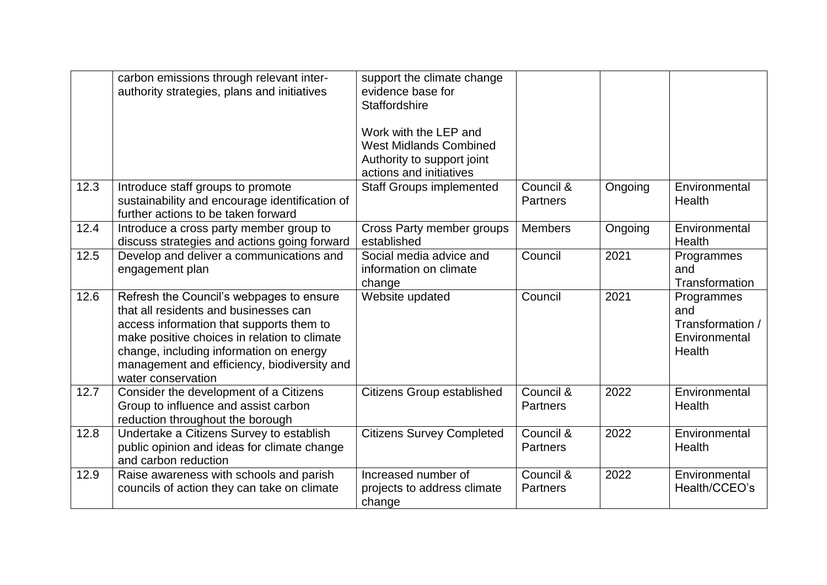|      | carbon emissions through relevant inter-<br>authority strategies, plans and initiatives                                                                                                                                                                                                       | support the climate change<br>evidence base for<br><b>Staffordshire</b><br>Work with the LEP and<br><b>West Midlands Combined</b><br>Authority to support joint<br>actions and initiatives |                              |         |                                                                  |
|------|-----------------------------------------------------------------------------------------------------------------------------------------------------------------------------------------------------------------------------------------------------------------------------------------------|--------------------------------------------------------------------------------------------------------------------------------------------------------------------------------------------|------------------------------|---------|------------------------------------------------------------------|
| 12.3 | Introduce staff groups to promote<br>sustainability and encourage identification of<br>further actions to be taken forward                                                                                                                                                                    | <b>Staff Groups implemented</b>                                                                                                                                                            | Council &<br><b>Partners</b> | Ongoing | Environmental<br>Health                                          |
| 12.4 | Introduce a cross party member group to<br>discuss strategies and actions going forward                                                                                                                                                                                                       | Cross Party member groups<br>established                                                                                                                                                   | <b>Members</b>               | Ongoing | Environmental<br>Health                                          |
| 12.5 | Develop and deliver a communications and<br>engagement plan                                                                                                                                                                                                                                   | Social media advice and<br>information on climate<br>change                                                                                                                                | Council                      | 2021    | Programmes<br>and<br>Transformation                              |
| 12.6 | Refresh the Council's webpages to ensure<br>that all residents and businesses can<br>access information that supports them to<br>make positive choices in relation to climate<br>change, including information on energy<br>management and efficiency, biodiversity and<br>water conservation | Website updated                                                                                                                                                                            | Council                      | 2021    | Programmes<br>and<br>Transformation /<br>Environmental<br>Health |
| 12.7 | Consider the development of a Citizens<br>Group to influence and assist carbon<br>reduction throughout the borough                                                                                                                                                                            | <b>Citizens Group established</b>                                                                                                                                                          | Council &<br><b>Partners</b> | 2022    | Environmental<br>Health                                          |
| 12.8 | Undertake a Citizens Survey to establish<br>public opinion and ideas for climate change<br>and carbon reduction                                                                                                                                                                               | <b>Citizens Survey Completed</b>                                                                                                                                                           | Council &<br><b>Partners</b> | 2022    | Environmental<br>Health                                          |
| 12.9 | Raise awareness with schools and parish<br>councils of action they can take on climate                                                                                                                                                                                                        | Increased number of<br>projects to address climate<br>change                                                                                                                               | Council &<br><b>Partners</b> | 2022    | Environmental<br>Health/CCEO's                                   |